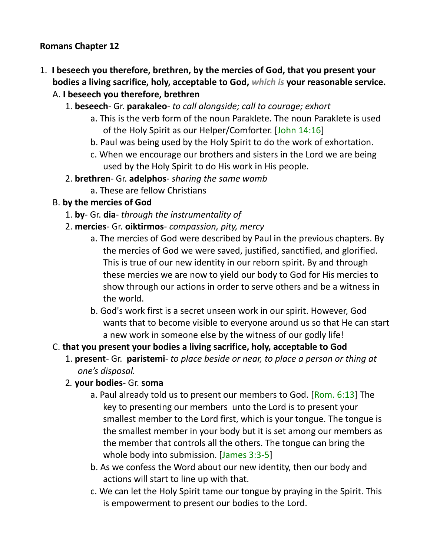#### **Romans Chapter 12**

- 1. **I beseech you therefore, brethren, by the mercies of God, that you present your bodies a living sacrifice, holy, acceptable to God,** *which is* **your reasonable service.** 
	- A. **I beseech you therefore, brethren**
		- 1. **beseech** Gr. **parakaleo** *to call alongside; call to courage; exhort*
			- a. This is the verb form of the noun Paraklete. The noun Paraklete is used of the Holy Spirit as our Helper/Comforter. [John 14:16]
			- b. Paul was being used by the Holy Spirit to do the work of exhortation.
			- c. When we encourage our brothers and sisters in the Lord we are being used by the Holy Spirit to do His work in His people.
		- 2. **brethren** Gr. **adelphos** *sharing the same womb*
			- a. These are fellow Christians

#### B. **by the mercies of God**

- 1. **by** Gr. **dia** *through the instrumentality of*
- 2. **mercies** Gr. **oiktirmos** *compassion, pity, mercy*
	- a. The mercies of God were described by Paul in the previous chapters. By the mercies of God we were saved, justified, sanctified, and glorified. This is true of our new identity in our reborn spirit. By and through these mercies we are now to yield our body to God for His mercies to show through our actions in order to serve others and be a witness in the world.
	- b. God's work first is a secret unseen work in our spirit. However, God wants that to become visible to everyone around us so that He can start a new work in someone else by the witness of our godly life!

#### C. **that you present your bodies a living sacrifice, holy, acceptable to God**

- 1. **present** Gr. **paristemi** *to place beside or near, to place a person or thing at one's disposal.*
- 2*.* **your bodies** Gr. **soma**
	- a. Paul already told us to present our members to God. [Rom. 6:13] The key to presenting our members unto the Lord is to present your smallest member to the Lord first, which is your tongue. The tongue is the smallest member in your body but it is set among our members as the member that controls all the others. The tongue can bring the whole body into submission. [James 3:3-5]
	- b. As we confess the Word about our new identity, then our body and actions will start to line up with that.
	- c. We can let the Holy Spirit tame our tongue by praying in the Spirit. This is empowerment to present our bodies to the Lord.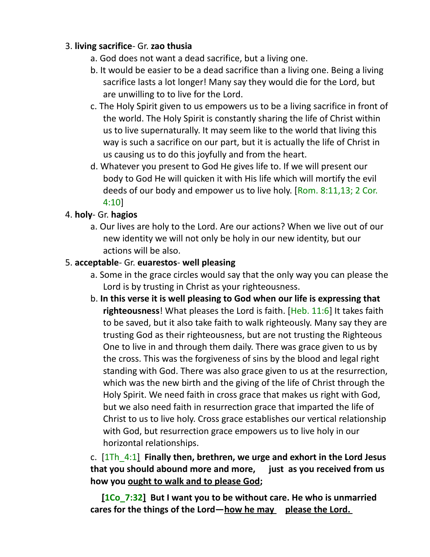#### 3. **living sacrifice**- Gr. **zao thusia**

- a. God does not want a dead sacrifice, but a living one.
- b. It would be easier to be a dead sacrifice than a living one. Being a living sacrifice lasts a lot longer! Many say they would die for the Lord, but are unwilling to to live for the Lord.
- c. The Holy Spirit given to us empowers us to be a living sacrifice in front of the world. The Holy Spirit is constantly sharing the life of Christ within us to live supernaturally. It may seem like to the world that living this way is such a sacrifice on our part, but it is actually the life of Christ in us causing us to do this joyfully and from the heart.
- d. Whatever you present to God He gives life to. If we will present our body to God He will quicken it with His life which will mortify the evil deeds of our body and empower us to live holy. [Rom. 8:11,13; 2 Cor. 4:10]

## 4. **holy**- Gr. **hagios**

a. Our lives are holy to the Lord. Are our actions? When we live out of our new identity we will not only be holy in our new identity, but our actions will be also.

## 5. **acceptable**- Gr. **euarestos**- **well pleasing**

- a. Some in the grace circles would say that the only way you can please the Lord is by trusting in Christ as your righteousness.
- b. **In this verse it is well pleasing to God when our life is expressing that righteousness**! What pleases the Lord is faith. [Heb. 11:6] It takes faith to be saved, but it also take faith to walk righteously. Many say they are trusting God as their righteousness, but are not trusting the Righteous One to live in and through them daily. There was grace given to us by the cross. This was the forgiveness of sins by the blood and legal right standing with God. There was also grace given to us at the resurrection, which was the new birth and the giving of the life of Christ through the Holy Spirit. We need faith in cross grace that makes us right with God, but we also need faith in resurrection grace that imparted the life of Christ to us to live holy. Cross grace establishes our vertical relationship with God, but resurrection grace empowers us to live holy in our horizontal relationships.

## c. [1Th\_4:1] **Finally then, brethren, we urge and exhort in the Lord Jesus that you should abound more and more, just as you received from us how you ought to walk and to please God;**

 **[1Co\_7:32] But I want you to be without care. He who is unmarried** cares for the things of the Lord—how he may please the Lord.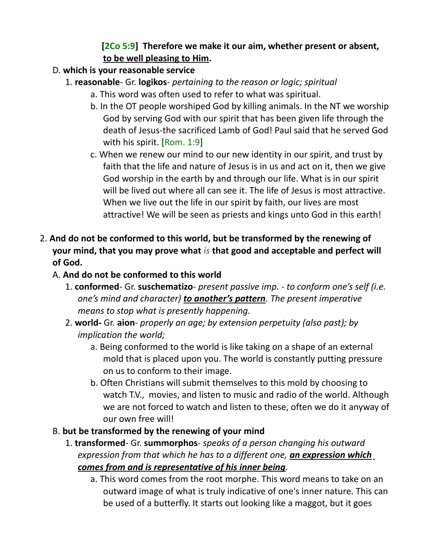## **[2Co 5:9] Therefore we make it our aim, whether present or absent, to be well pleasing to Him.**

- D. **which is your reasonable service**
	- 1. **reasonable** Gr. **logikos** *pertaining to the reason or logic; spiritual*
		- a. This word was often used to refer to what was spiritual.
		- b. In the OT people worshiped God by killing animals. In the NT we worship God by serving God with our spirit that has been given life through the death of Jesus-the sacrificed Lamb of God! Paul said that he served God with his spirit. [Rom. 1:9]
		- c. When we renew our mind to our new identity in our spirit, and trust by faith that the life and nature of Jesus is in us and act on it, then we give God worship in the earth by and through our life. What is in our spirit will be lived out where all can see it. The life of Jesus is most attractive. When we live out the life in our spirit by faith, our lives are most attractive! We will be seen as priests and kings unto God in this earth!
- 2. **And do not be conformed to this world, but be transformed by the renewing of your mind, that you may prove what** *is* **that good and acceptable and perfect will of God.** 
	- A. **And do not be conformed to this world**
		- 1. **conformed** Gr. **suschematizo** *present passive imp. to conform one's self (i.e. one's mind and character) to another's pattern. The present imperative means to stop what is presently happening.*
		- 2. **world-** Gr. **aion** *properly an age; by extension perpetuity (also past); by implication the world;*
			- a. Being conformed to the world is like taking on a shape of an external mold that is placed upon you. The world is constantly putting pressure on us to conform to their image.
			- b. Often Christians will submit themselves to this mold by choosing to watch T.V., movies, and listen to music and radio of the world. Although we are not forced to watch and listen to these, often we do it anyway of our own free will!
	- B. **but be transformed by the renewing of your mind**
		- 1. **transformed** Gr. **summorphos** *speaks of a person changing his outward expression from that which he has to a different one, an expression which comes from and is representative of his inner being.*
			- a. This word comes from the root morphe. This word means to take on an outward image of what is truly indicative of one's inner nature. This can be used of a butterfly. It starts out looking like a maggot, but it goes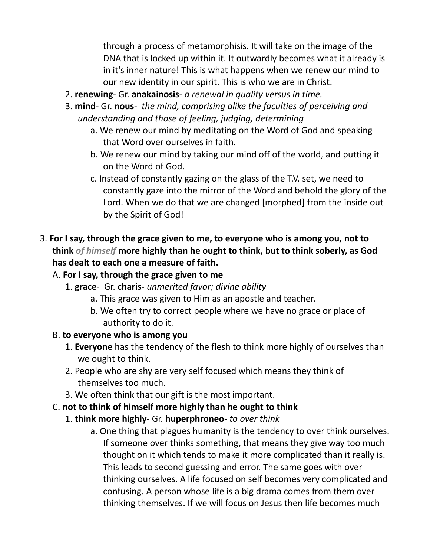through a process of metamorphisis. It will take on the image of the DNA that is locked up within it. It outwardly becomes what it already is in it's inner nature! This is what happens when we renew our mind to our new identity in our spirit. This is who we are in Christ.

- 2. **renewing** Gr. **anakainosis** *a renewal in quality versus in time.*
- 3. **mind** Gr. **nous** *the mind, comprising alike the faculties of perceiving and understanding and those of feeling, judging, determining*
	- a. We renew our mind by meditating on the Word of God and speaking that Word over ourselves in faith.
	- b. We renew our mind by taking our mind off of the world, and putting it on the Word of God.
	- c. Instead of constantly gazing on the glass of the T.V. set, we need to constantly gaze into the mirror of the Word and behold the glory of the Lord. When we do that we are changed [morphed] from the inside out by the Spirit of God!
- 3. **For I say, through the grace given to me, to everyone who is among you, not to think** *of himself* **more highly than he ought to think, but to think soberly, as God has dealt to each one a measure of faith.**

# A. **For I say, through the grace given to me**

- 1. **grace** Gr. **charis-** *unmerited favor; divine ability*
	- a. This grace was given to Him as an apostle and teacher.
	- b. We often try to correct people where we have no grace or place of authority to do it.

# B. **to everyone who is among you**

- 1. **Everyone** has the tendency of the flesh to think more highly of ourselves than we ought to think.
- 2. People who are shy are very self focused which means they think of themselves too much.
- 3. We often think that our gift is the most important.

# C. **not to think of himself more highly than he ought to think**

- 1. **think more highly** Gr. **huperphroneo** *to over think*
	- a. One thing that plagues humanity is the tendency to over think ourselves. If someone over thinks something, that means they give way too much thought on it which tends to make it more complicated than it really is. This leads to second guessing and error. The same goes with over thinking ourselves. A life focused on self becomes very complicated and confusing. A person whose life is a big drama comes from them over thinking themselves. If we will focus on Jesus then life becomes much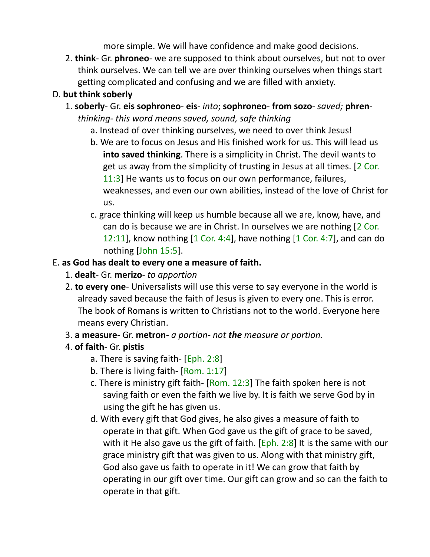more simple. We will have confidence and make good decisions.

2. **think**- Gr. **phroneo**- we are supposed to think about ourselves, but not to over think ourselves. We can tell we are over thinking ourselves when things start getting complicated and confusing and we are filled with anxiety.

# D. **but think soberly**

- 1. **soberly** Gr. **eis sophroneo eis**- *into*; **sophroneo from sozo** *saved;* **phren***thinking- this word means saved, sound, safe thinking*
	- a. Instead of over thinking ourselves, we need to over think Jesus!
	- b. We are to focus on Jesus and His finished work for us. This will lead us **into saved thinking**. There is a simplicity in Christ. The devil wants to get us away from the simplicity of trusting in Jesus at all times. [2 Cor. 11:3] He wants us to focus on our own performance, failures, weaknesses, and even our own abilities, instead of the love of Christ for us.
	- c. grace thinking will keep us humble because all we are, know, have, and can do is because we are in Christ. In ourselves we are nothing [2 Cor. 12:11], know nothing  $[1 \text{ Cor. } 4:4]$ , have nothing  $[1 \text{ Cor. } 4:7]$ , and can do nothing [John 15:5].

## E. **as God has dealt to every one a measure of faith.**

- 1. **dealt** Gr. **merizo** *to apportion*
- 2. **to every one** Universalists will use this verse to say everyone in the world is already saved because the faith of Jesus is given to every one. This is error. The book of Romans is written to Christians not to the world. Everyone here means every Christian.
- 3. **a measure** Gr. **metron** *a portion- not the measure or portion.*

# 4. **of faith**- Gr. **pistis**

- a. There is saving faith- [Eph. 2:8]
- b. There is living faith- [Rom. 1:17]
- c. There is ministry gift faith- [Rom. 12:3] The faith spoken here is not saving faith or even the faith we live by. It is faith we serve God by in using the gift he has given us.
- d. With every gift that God gives, he also gives a measure of faith to operate in that gift. When God gave us the gift of grace to be saved, with it He also gave us the gift of faith.  $[Eph. 2:8]$  It is the same with our grace ministry gift that was given to us. Along with that ministry gift, God also gave us faith to operate in it! We can grow that faith by operating in our gift over time. Our gift can grow and so can the faith to operate in that gift.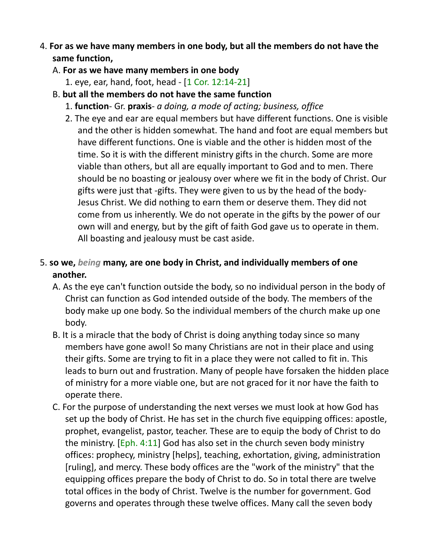#### 4. **For as we have many members in one body, but all the members do not have the same function,**

A. **For as we have many members in one body**

1. eye, ear, hand, foot, head - [1 Cor. 12:14-21]

- B. **but all the members do not have the same function**
	- 1. **function** Gr. **praxis** *a doing, a mode of acting; business, office*
	- 2. The eye and ear are equal members but have different functions. One is visible and the other is hidden somewhat. The hand and foot are equal members but have different functions. One is viable and the other is hidden most of the time. So it is with the different ministry gifts in the church. Some are more viable than others, but all are equally important to God and to men. There should be no boasting or jealousy over where we fit in the body of Christ. Our gifts were just that -gifts. They were given to us by the head of the body-Jesus Christ. We did nothing to earn them or deserve them. They did not come from us inherently. We do not operate in the gifts by the power of our own will and energy, but by the gift of faith God gave us to operate in them. All boasting and jealousy must be cast aside.

# 5. **so we,** *being* **many, are one body in Christ, and individually members of one another.**

- A. As the eye can't function outside the body, so no individual person in the body of Christ can function as God intended outside of the body. The members of the body make up one body. So the individual members of the church make up one body.
- B. It is a miracle that the body of Christ is doing anything today since so many members have gone awol! So many Christians are not in their place and using their gifts. Some are trying to fit in a place they were not called to fit in. This leads to burn out and frustration. Many of people have forsaken the hidden place of ministry for a more viable one, but are not graced for it nor have the faith to operate there.
- C. For the purpose of understanding the next verses we must look at how God has set up the body of Christ. He has set in the church five equipping offices: apostle, prophet, evangelist, pastor, teacher. These are to equip the body of Christ to do the ministry. [Eph. 4:11] God has also set in the church seven body ministry offices: prophecy, ministry [helps], teaching, exhortation, giving, administration [ruling], and mercy. These body offices are the "work of the ministry" that the equipping offices prepare the body of Christ to do. So in total there are twelve total offices in the body of Christ. Twelve is the number for government. God governs and operates through these twelve offices. Many call the seven body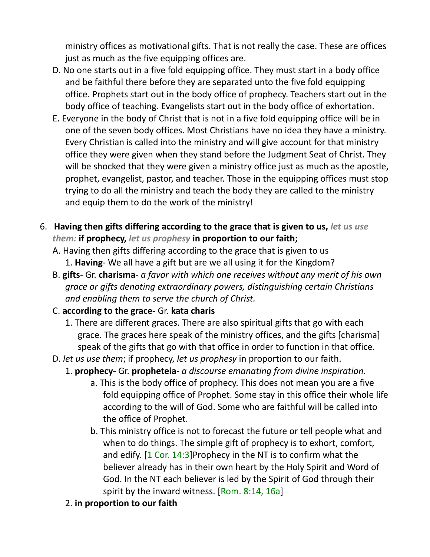ministry offices as motivational gifts. That is not really the case. These are offices just as much as the five equipping offices are.

- D. No one starts out in a five fold equipping office. They must start in a body office and be faithful there before they are separated unto the five fold equipping office. Prophets start out in the body office of prophecy. Teachers start out in the body office of teaching. Evangelists start out in the body office of exhortation.
- E. Everyone in the body of Christ that is not in a five fold equipping office will be in one of the seven body offices. Most Christians have no idea they have a ministry. Every Christian is called into the ministry and will give account for that ministry office they were given when they stand before the Judgment Seat of Christ. They will be shocked that they were given a ministry office just as much as the apostle, prophet, evangelist, pastor, and teacher. Those in the equipping offices must stop trying to do all the ministry and teach the body they are called to the ministry and equip them to do the work of the ministry!
- 6. **Having then gifts differing according to the grace that is given to us,** *let us use them:* **if prophecy,** *let us prophesy* **in proportion to our faith;** 
	- A. Having then gifts differing according to the grace that is given to us 1. **Having**- We all have a gift but are we all using it for the Kingdom?
	- B. **gifts** Gr. **charisma** *a favor with which one receives without any merit of his own grace or gifts denoting extraordinary powers, distinguishing certain Christians and enabling them to serve the church of Christ.*

#### C. **according to the grace-** Gr. **kata charis**

- 1. There are different graces. There are also spiritual gifts that go with each grace. The graces here speak of the ministry offices, and the gifts [charisma] speak of the gifts that go with that office in order to function in that office.
- D. *let us use them*; if prophecy, *let us prophesy* in proportion to our faith.
	- 1. **prophecy** Gr. **propheteia** *a discourse emanating from divine inspiration.*
		- a. This is the body office of prophecy. This does not mean you are a five fold equipping office of Prophet. Some stay in this office their whole life according to the will of God. Some who are faithful will be called into the office of Prophet.
		- b. This ministry office is not to forecast the future or tell people what and when to do things. The simple gift of prophecy is to exhort, comfort, and edify. [1 Cor. 14:3]Prophecy in the NT is to confirm what the believer already has in their own heart by the Holy Spirit and Word of God. In the NT each believer is led by the Spirit of God through their spirit by the inward witness.  $[Rom. 8:14, 16a]$
	- 2. **in proportion to our faith**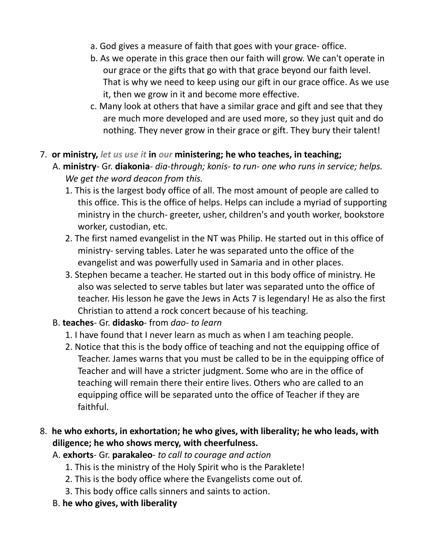- a. God gives a measure of faith that goes with your grace- office.
- b. As we operate in this grace then our faith will grow. We can't operate in our grace or the gifts that go with that grace beyond our faith level. That is why we need to keep using our gift in our grace office. As we use it, then we grow in it and become more effective.
- c. Many look at others that have a similar grace and gift and see that they are much more developed and are used more, so they just quit and do nothing. They never grow in their grace or gift. They bury their talent!
- 7. **or ministry,** *let us use it* **in** *our* **ministering; he who teaches, in teaching;** 
	- A. **ministry** Gr. **diakonia** *dia-through; konis- to run- one who runs in service; helps. We get the word deacon from this.*
		- 1. This is the largest body office of all. The most amount of people are called to this office. This is the office of helps. Helps can include a myriad of supporting ministry in the church- greeter, usher, children's and youth worker, bookstore worker, custodian, etc.
		- 2. The first named evangelist in the NT was Philip. He started out in this office of ministry- serving tables. Later he was separated unto the office of the evangelist and was powerfully used in Samaria and in other places.
		- 3. Stephen became a teacher. He started out in this body office of ministry. He also was selected to serve tables but later was separated unto the office of teacher. His lesson he gave the Jews in Acts 7 is legendary! He as also the first Christian to attend a rock concert because of his teaching.
	- B. **teaches** Gr. **didasko** from *dao- to learn*
		- 1. I have found that I never learn as much as when I am teaching people.
		- 2. Notice that this is the body office of teaching and not the equipping office of Teacher. James warns that you must be called to be in the equipping office of Teacher and will have a stricter judgment. Some who are in the office of teaching will remain there their entire lives. Others who are called to an equipping office will be separated unto the office of Teacher if they are faithful.
- 8. **he who exhorts, in exhortation; he who gives, with liberality; he who leads, with diligence; he who shows mercy, with cheerfulness.** 
	- A. **exhorts** Gr. **parakaleo** *to call to courage and action*
		- 1. This is the ministry of the Holy Spirit who is the Paraklete!
		- 2. This is the body office where the Evangelists come out of.
		- 3. This body office calls sinners and saints to action.
	- B. **he who gives, with liberality**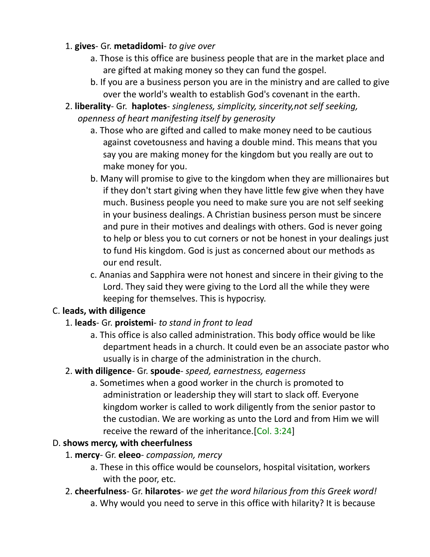#### 1. **gives**- Gr. **metadidomi**- *to give over*

- a. Those is this office are business people that are in the market place and are gifted at making money so they can fund the gospel.
- b. If you are a business person you are in the ministry and are called to give over the world's wealth to establish God's covenant in the earth.
- 2. **liberality** Gr. **haplotes** *singleness, simplicity, sincerity,not self seeking, openness of heart manifesting itself by generosity*
	- a. Those who are gifted and called to make money need to be cautious against covetousness and having a double mind. This means that you say you are making money for the kingdom but you really are out to make money for you.
	- b. Many will promise to give to the kingdom when they are millionaires but if they don't start giving when they have little few give when they have much. Business people you need to make sure you are not self seeking in your business dealings. A Christian business person must be sincere and pure in their motives and dealings with others. God is never going to help or bless you to cut corners or not be honest in your dealings just to fund His kingdom. God is just as concerned about our methods as our end result.
	- c. Ananias and Sapphira were not honest and sincere in their giving to the Lord. They said they were giving to the Lord all the while they were keeping for themselves. This is hypocrisy.

#### C. **leads, with diligence**

- 1. **leads** Gr. **proistemi** *to stand in front to lead*
	- a. This office is also called administration. This body office would be like department heads in a church. It could even be an associate pastor who usually is in charge of the administration in the church.

#### 2. **with diligence**- Gr. **spoude**- *speed, earnestness, eagerness*

a. Sometimes when a good worker in the church is promoted to administration or leadership they will start to slack off. Everyone kingdom worker is called to work diligently from the senior pastor to the custodian. We are working as unto the Lord and from Him we will receive the reward of the inheritance.<sup>[Col. 3:24]</sup>

# D. **shows mercy, with cheerfulness**

- 1. **mercy** Gr. **eleeo** *compassion, mercy*
	- a. These in this office would be counselors, hospital visitation, workers with the poor, etc.
- 2. **cheerfulness** Gr. **hilarotes** *we get the word hilarious from this Greek word!* a. Why would you need to serve in this office with hilarity? It is because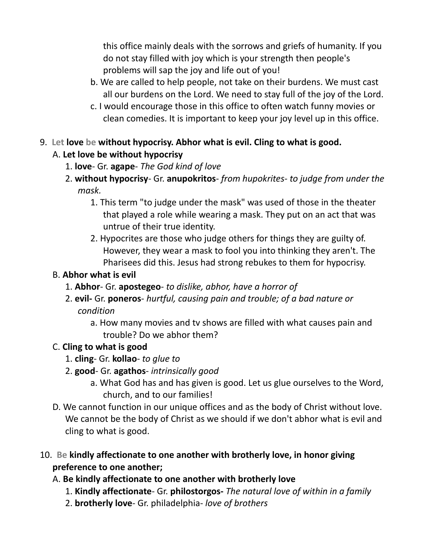this office mainly deals with the sorrows and griefs of humanity. If you do not stay filled with joy which is your strength then people's problems will sap the joy and life out of you!

- b. We are called to help people, not take on their burdens. We must cast all our burdens on the Lord. We need to stay full of the joy of the Lord.
- c. I would encourage those in this office to often watch funny movies or clean comedies. It is important to keep your joy level up in this office.
- 9. **Let love be without hypocrisy. Abhor what is evil. Cling to what is good.**

# A. **Let love be without hypocrisy**

- 1. **love** Gr. **agape** *The God kind of love*
- 2. **without hypocrisy** Gr. **anupokritos** *from hupokrites- to judge from under the mask.*
	- 1. This term "to judge under the mask" was used of those in the theater that played a role while wearing a mask. They put on an act that was untrue of their true identity.
	- 2. Hypocrites are those who judge others for things they are guilty of. However, they wear a mask to fool you into thinking they aren't. The Pharisees did this. Jesus had strong rebukes to them for hypocrisy.

## B. **Abhor what is evil**

- 1. **Abhor** Gr. **apostegeo** *to dislike, abhor, have a horror of*
- 2. **evil-** Gr. **poneros** *hurtful, causing pain and trouble; of a bad nature or condition*
	- a. How many movies and tv shows are filled with what causes pain and trouble? Do we abhor them?

# C. **Cling to what is good**

- 1. **cling** Gr. **kollao** *to glue to*
- 2. **good** Gr. **agathos** *intrinsically good*
	- a. What God has and has given is good. Let us glue ourselves to the Word, church, and to our families!
- D. We cannot function in our unique offices and as the body of Christ without love. We cannot be the body of Christ as we should if we don't abhor what is evil and cling to what is good.
- 10. **Be kindly affectionate to one another with brotherly love, in honor giving preference to one another;**

# A. **Be kindly affectionate to one another with brotherly love**

- 1. **Kindly affectionate** Gr. **philostorgos-** *The natural love of within in a family*
- 2. **brotherly love** Gr. philadelphia- *love of brothers*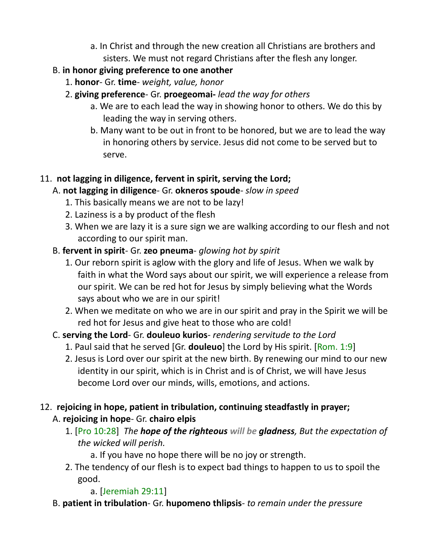a. In Christ and through the new creation all Christians are brothers and sisters. We must not regard Christians after the flesh any longer.

# B. **in honor giving preference to one another**

- 1. **honor** Gr. **time** *weight, value, honor*
- 2. **giving preference** Gr. **proegeomai-** *lead the way for others*
	- a. We are to each lead the way in showing honor to others. We do this by leading the way in serving others.
	- b. Many want to be out in front to be honored, but we are to lead the way in honoring others by service. Jesus did not come to be served but to serve.

# 11. **not lagging in diligence, fervent in spirit, serving the Lord;**

## A. **not lagging in diligence**- Gr. **okneros spoude**- *slow in speed*

- 1. This basically means we are not to be lazy!
- 2. Laziness is a by product of the flesh
- 3. When we are lazy it is a sure sign we are walking according to our flesh and not according to our spirit man.

# B. **fervent in spirit**- Gr. **zeo pneuma**- *glowing hot by spirit*

- 1. Our reborn spirit is aglow with the glory and life of Jesus. When we walk by faith in what the Word says about our spirit, we will experience a release from our spirit. We can be red hot for Jesus by simply believing what the Words says about who we are in our spirit!
- 2. When we meditate on who we are in our spirit and pray in the Spirit we will be red hot for Jesus and give heat to those who are cold!

# C. **serving the Lord**- Gr. **douleuo kurios**- *rendering servitude to the Lord*

- 1. Paul said that he served [Gr. **douleuo**] the Lord by His spirit. [Rom. 1:9]
- 2. Jesus is Lord over our spirit at the new birth. By renewing our mind to our new identity in our spirit, which is in Christ and is of Christ, we will have Jesus become Lord over our minds, wills, emotions, and actions.

# 12. **rejoicing in hope, patient in tribulation, continuing steadfastly in prayer;**

# A. **rejoicing in hope**- Gr. **chairo elpis**

1. [Pro 10:28] *The hope of the righteous will be gladness, But the expectation of the wicked will perish.* 

a. If you have no hope there will be no joy or strength.

2. The tendency of our flesh is to expect bad things to happen to us to spoil the good.

a. [Jeremiah 29:11]

B. **patient in tribulation**- Gr. **hupomeno thlipsis**- *to remain under the pressure*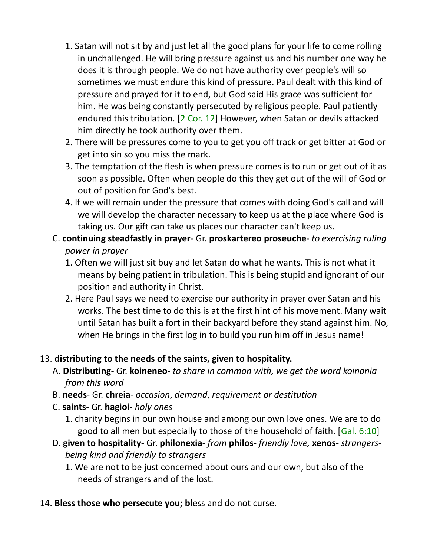- 1. Satan will not sit by and just let all the good plans for your life to come rolling in unchallenged. He will bring pressure against us and his number one way he does it is through people. We do not have authority over people's will so sometimes we must endure this kind of pressure. Paul dealt with this kind of pressure and prayed for it to end, but God said His grace was sufficient for him. He was being constantly persecuted by religious people. Paul patiently endured this tribulation. [2 Cor. 12] However, when Satan or devils attacked him directly he took authority over them.
- 2. There will be pressures come to you to get you off track or get bitter at God or get into sin so you miss the mark.
- 3. The temptation of the flesh is when pressure comes is to run or get out of it as soon as possible. Often when people do this they get out of the will of God or out of position for God's best.
- 4. If we will remain under the pressure that comes with doing God's call and will we will develop the character necessary to keep us at the place where God is taking us. Our gift can take us places our character can't keep us.
- C. **continuing steadfastly in prayer** Gr. **proskartereo proseuche** *to exercising ruling power in prayer*
	- 1. Often we will just sit buy and let Satan do what he wants. This is not what it means by being patient in tribulation. This is being stupid and ignorant of our position and authority in Christ.
	- 2. Here Paul says we need to exercise our authority in prayer over Satan and his works. The best time to do this is at the first hint of his movement. Many wait until Satan has built a fort in their backyard before they stand against him. No, when He brings in the first log in to build you run him off in Jesus name!

#### 13. **distributing to the needs of the saints, given to hospitality.**

- A. **Distributing** Gr. **koineneo** *to share in common with, we get the word koinonia from this word*
- B. **needs** Gr. **chreia** *occasion*, *demand*, *requirement or destitution*
- C. **saints** Gr. **hagioi** *holy ones*
	- 1. charity begins in our own house and among our own love ones. We are to do good to all men but especially to those of the household of faith. [Gal. 6:10]
- D. **given to hospitality** Gr. **philonexia** *from* **philos** *friendly love,* **xenos** *strangersbeing kind and friendly to strangers*
	- 1. We are not to be just concerned about ours and our own, but also of the needs of strangers and of the lost.
- 14. **Bless those who persecute you; b**less and do not curse.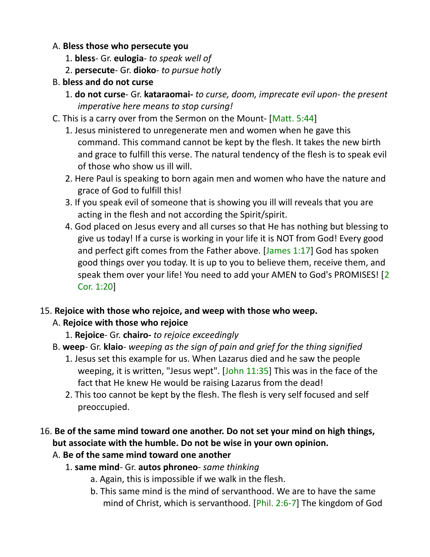#### A. **Bless those who persecute you**

- 1. **bless** Gr. **eulogia** *to speak well of*
- 2. **persecute** Gr. **dioko** *to pursue hotly*

#### B. **bless and do not curse**

- 1. **do not curse** Gr. **kataraomai-** *to curse, doom, imprecate evil upon- the present imperative here means to stop cursing!*
- C. This is a carry over from the Sermon on the Mount- [Matt. 5:44]
	- 1. Jesus ministered to unregenerate men and women when he gave this command. This command cannot be kept by the flesh. It takes the new birth and grace to fulfill this verse. The natural tendency of the flesh is to speak evil of those who show us ill will.
	- 2. Here Paul is speaking to born again men and women who have the nature and grace of God to fulfill this!
	- 3. If you speak evil of someone that is showing you ill will reveals that you are acting in the flesh and not according the Spirit/spirit.
	- 4. God placed on Jesus every and all curses so that He has nothing but blessing to give us today! If a curse is working in your life it is NOT from God! Every good and perfect gift comes from the Father above. [James 1:17] God has spoken good things over you today. It is up to you to believe them, receive them, and speak them over your life! You need to add your AMEN to God's PROMISES! [2 Cor. 1:20]

#### 15. **Rejoice with those who rejoice, and weep with those who weep.**

#### A. **Rejoice with those who rejoice**

- 1. **Rejoice** Gr. **chairo-** *to rejoice exceedingly*
- B. **weep** Gr. **klaio** *weeping as the sign of pain and grief for the thing signified*
	- 1. Jesus set this example for us. When Lazarus died and he saw the people weeping, it is written, "Jesus wept". [John 11:35] This was in the face of the fact that He knew He would be raising Lazarus from the dead!
	- 2. This too cannot be kept by the flesh. The flesh is very self focused and self preoccupied.

# 16. **Be of the same mind toward one another. Do not set your mind on high things, but associate with the humble. Do not be wise in your own opinion.**

#### A. **Be of the same mind toward one another**

- 1. **same mind** Gr. **autos phroneo** *same thinking*
	- a. Again, this is impossible if we walk in the flesh.
	- b. This same mind is the mind of servanthood. We are to have the same mind of Christ, which is servanthood. [Phil. 2:6-7] The kingdom of God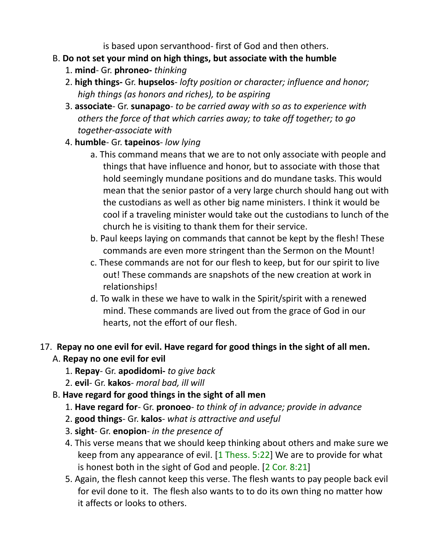is based upon servanthood- first of God and then others.

- B. **Do not set your mind on high things, but associate with the humble**
	- 1. **mind** Gr. **phroneo-** *thinking*
	- 2. **high things-** Gr. **hupselos** *lofty position or character; influence and honor; high things (as honors and riches), to be aspiring*
	- 3. **associate** Gr. **sunapago** *to be carried away with so as to experience with others the force of that which carries away; to take off together; to go together-associate with*
	- 4. **humble** Gr. **tapeinos** *low lying*
		- a. This command means that we are to not only associate with people and things that have influence and honor, but to associate with those that hold seemingly mundane positions and do mundane tasks. This would mean that the senior pastor of a very large church should hang out with the custodians as well as other big name ministers. I think it would be cool if a traveling minister would take out the custodians to lunch of the church he is visiting to thank them for their service.
		- b. Paul keeps laying on commands that cannot be kept by the flesh! These commands are even more stringent than the Sermon on the Mount!
		- c. These commands are not for our flesh to keep, but for our spirit to live out! These commands are snapshots of the new creation at work in relationships!
		- d. To walk in these we have to walk in the Spirit/spirit with a renewed mind. These commands are lived out from the grace of God in our hearts, not the effort of our flesh.

# 17. **Repay no one evil for evil. Have regard for good things in the sight of all men.**

- A. **Repay no one evil for evil**
	- 1. **Repay** Gr. **apodidomi-** *to give back*
	- 2. **evil** Gr. **kakos** *moral bad, ill will*
- B. **Have regard for good things in the sight of all men**
	- 1. **Have regard for** Gr. **pronoeo** *to think of in advance; provide in advance*
	- 2. **good things** Gr. **kalos** *what is attractive and useful*
	- 3. **sight** Gr. **enopion** *in the presence of*
	- 4. This verse means that we should keep thinking about others and make sure we keep from any appearance of evil. [1 Thess. 5:22] We are to provide for what is honest both in the sight of God and people. [2 Cor. 8:21]
	- 5. Again, the flesh cannot keep this verse. The flesh wants to pay people back evil for evil done to it. The flesh also wants to to do its own thing no matter how it affects or looks to others.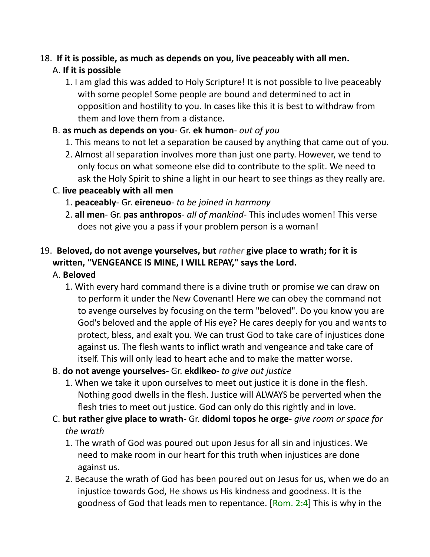## 18. **If it is possible, as much as depends on you, live peaceably with all men.**

## A. **If it is possible**

- 1. I am glad this was added to Holy Scripture! It is not possible to live peaceably with some people! Some people are bound and determined to act in opposition and hostility to you. In cases like this it is best to withdraw from them and love them from a distance.
- B. **as much as depends on you** Gr. **ek humon** *out of you*
	- 1. This means to not let a separation be caused by anything that came out of you.
	- 2. Almost all separation involves more than just one party. However, we tend to only focus on what someone else did to contribute to the split. We need to ask the Holy Spirit to shine a light in our heart to see things as they really are.

## C. **live peaceably with all men**

- 1. **peaceably** Gr. **eireneuo** *to be joined in harmony*
- 2. **all men** Gr. **pas anthropos** *all of mankind* This includes women! This verse does not give you a pass if your problem person is a woman!

# 19. **Beloved, do not avenge yourselves, but** *rather* **give place to wrath; for it is written, "VENGEANCE IS MINE, I WILL REPAY," says the Lord.**

#### A. **Beloved**

- 1. With every hard command there is a divine truth or promise we can draw on to perform it under the New Covenant! Here we can obey the command not to avenge ourselves by focusing on the term "beloved". Do you know you are God's beloved and the apple of His eye? He cares deeply for you and wants to protect, bless, and exalt you. We can trust God to take care of injustices done against us. The flesh wants to inflict wrath and vengeance and take care of itself. This will only lead to heart ache and to make the matter worse.
- B. **do not avenge yourselves-** Gr. **ekdikeo** *to give out justice* 
	- 1. When we take it upon ourselves to meet out justice it is done in the flesh. Nothing good dwells in the flesh. Justice will ALWAYS be perverted when the flesh tries to meet out justice. God can only do this rightly and in love.
- C. **but rather give place to wrath** Gr. **didomi topos he orge** *give room or space for the wrath*
	- 1. The wrath of God was poured out upon Jesus for all sin and injustices. We need to make room in our heart for this truth when injustices are done against us.
	- 2. Because the wrath of God has been poured out on Jesus for us, when we do an injustice towards God, He shows us His kindness and goodness. It is the goodness of God that leads men to repentance. [Rom. 2:4] This is why in the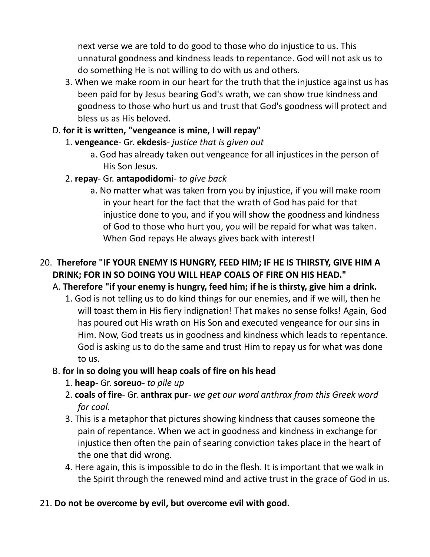next verse we are told to do good to those who do injustice to us. This unnatural goodness and kindness leads to repentance. God will not ask us to do something He is not willing to do with us and others.

3. When we make room in our heart for the truth that the injustice against us has been paid for by Jesus bearing God's wrath, we can show true kindness and goodness to those who hurt us and trust that God's goodness will protect and bless us as His beloved.

## D. **for it is written, "vengeance is mine, I will repay"**

- 1. **vengeance** Gr. **ekdesis** *justice that is given out*
	- a. God has already taken out vengeance for all injustices in the person of His Son Jesus.
- 2. **repay** Gr. **antapodidomi** *to give back*
	- a. No matter what was taken from you by injustice, if you will make room in your heart for the fact that the wrath of God has paid for that injustice done to you, and if you will show the goodness and kindness of God to those who hurt you, you will be repaid for what was taken. When God repays He always gives back with interest!

# 20. **Therefore "IF YOUR ENEMY IS HUNGRY, FEED HIM; IF HE IS THIRSTY, GIVE HIM A DRINK; FOR IN SO DOING YOU WILL HEAP COALS OF FIRE ON HIS HEAD."**

- A. **Therefore "if your enemy is hungry, feed him; if he is thirsty, give him a drink.**
	- 1. God is not telling us to do kind things for our enemies, and if we will, then he will toast them in His fiery indignation! That makes no sense folks! Again, God has poured out His wrath on His Son and executed vengeance for our sins in Him. Now, God treats us in goodness and kindness which leads to repentance. God is asking us to do the same and trust Him to repay us for what was done to us.

#### B. **for in so doing you will heap coals of fire on his head**

- 1. **heap** Gr. **soreuo** *to pile up*
- 2. **coals of fire** Gr. **anthrax pur** *we get our word anthrax from this Greek word for coal.*
- 3. This is a metaphor that pictures showing kindness that causes someone the pain of repentance. When we act in goodness and kindness in exchange for injustice then often the pain of searing conviction takes place in the heart of the one that did wrong.
- 4. Here again, this is impossible to do in the flesh. It is important that we walk in the Spirit through the renewed mind and active trust in the grace of God in us.

# 21. **Do not be overcome by evil, but overcome evil with good.**